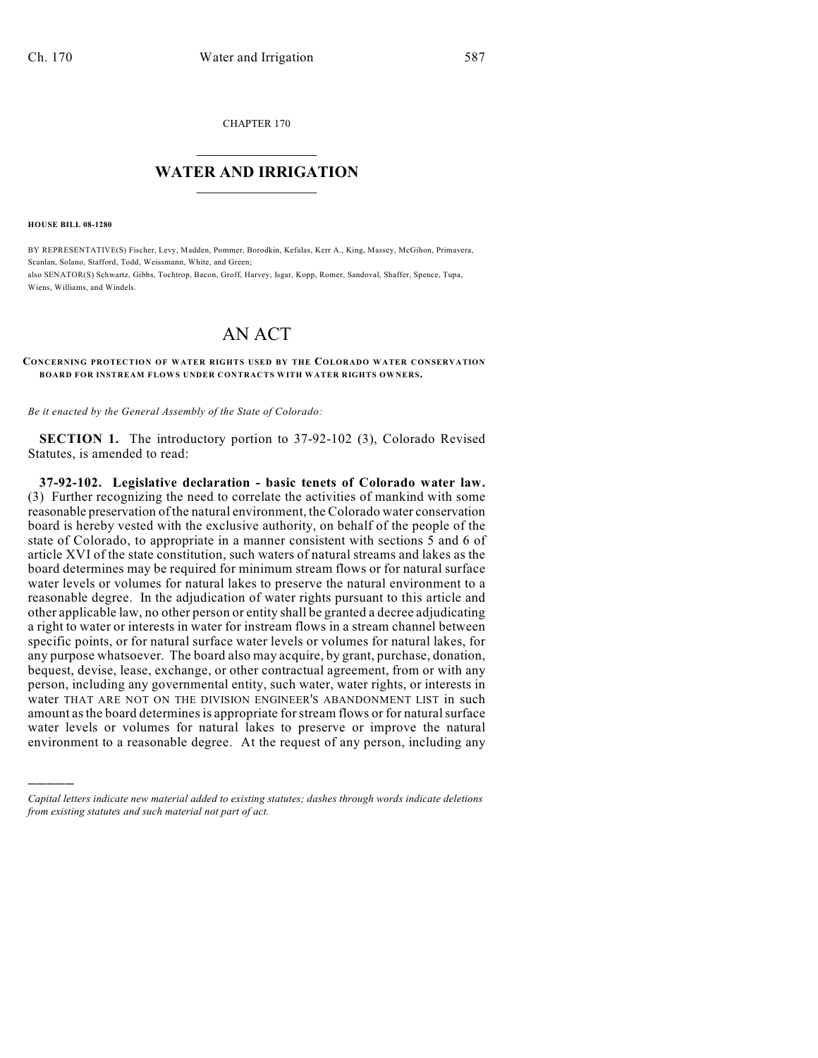CHAPTER 170

## $\mathcal{L}_\text{max}$  . The set of the set of the set of the set of the set of the set of the set of the set of the set of the set of the set of the set of the set of the set of the set of the set of the set of the set of the set **WATER AND IRRIGATION**  $\_$   $\_$

**HOUSE BILL 08-1280**

)))))

BY REPRESENTATIVE(S) Fischer, Levy, Madden, Pommer, Borodkin, Kefalas, Kerr A., King, Massey, McGihon, Primavera, Scanlan, Solano, Stafford, Todd, Weissmann, White, and Green; also SENATOR(S) Schwartz, Gibbs, Tochtrop, Bacon, Groff, Harvey, Isgar, Kopp, Romer, Sandoval, Shaffer, Spence, Tupa, Wiens, Williams, and Windels.

## AN ACT

## **CONCERNING PROTECTION OF WATER RIGHTS USED BY THE COLORADO WATER CONSERVATION BOARD FOR INSTREAM FLOWS UNDER CONTRACTS WITH WATER RIGHTS OWNERS.**

*Be it enacted by the General Assembly of the State of Colorado:*

**SECTION 1.** The introductory portion to 37-92-102 (3), Colorado Revised Statutes, is amended to read:

**37-92-102. Legislative declaration - basic tenets of Colorado water law.** (3) Further recognizing the need to correlate the activities of mankind with some reasonable preservation of the natural environment, the Colorado water conservation board is hereby vested with the exclusive authority, on behalf of the people of the state of Colorado, to appropriate in a manner consistent with sections 5 and 6 of article XVI of the state constitution, such waters of natural streams and lakes as the board determines may be required for minimum stream flows or for natural surface water levels or volumes for natural lakes to preserve the natural environment to a reasonable degree. In the adjudication of water rights pursuant to this article and other applicable law, no other person or entity shall be granted a decree adjudicating a right to water or interests in water for instream flows in a stream channel between specific points, or for natural surface water levels or volumes for natural lakes, for any purpose whatsoever. The board also may acquire, by grant, purchase, donation, bequest, devise, lease, exchange, or other contractual agreement, from or with any person, including any governmental entity, such water, water rights, or interests in water THAT ARE NOT ON THE DIVISION ENGINEER'S ABANDONMENT LIST in such amount as the board determines is appropriate for stream flows or for natural surface water levels or volumes for natural lakes to preserve or improve the natural environment to a reasonable degree. At the request of any person, including any

*Capital letters indicate new material added to existing statutes; dashes through words indicate deletions from existing statutes and such material not part of act.*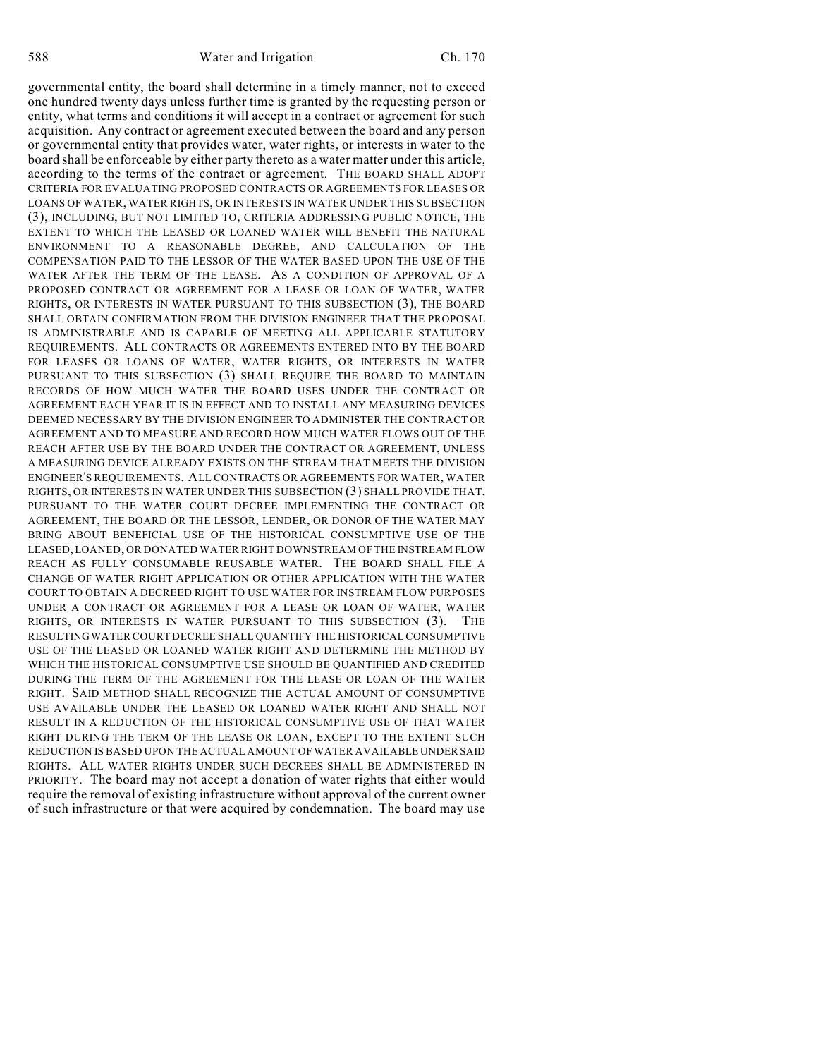588 Water and Irrigation Ch. 170

governmental entity, the board shall determine in a timely manner, not to exceed one hundred twenty days unless further time is granted by the requesting person or entity, what terms and conditions it will accept in a contract or agreement for such acquisition. Any contract or agreement executed between the board and any person or governmental entity that provides water, water rights, or interests in water to the board shall be enforceable by either party thereto as a water matter under this article, according to the terms of the contract or agreement. THE BOARD SHALL ADOPT CRITERIA FOR EVALUATING PROPOSED CONTRACTS OR AGREEMENTS FOR LEASES OR LOANS OF WATER, WATER RIGHTS, OR INTERESTS IN WATER UNDER THIS SUBSECTION (3), INCLUDING, BUT NOT LIMITED TO, CRITERIA ADDRESSING PUBLIC NOTICE, THE EXTENT TO WHICH THE LEASED OR LOANED WATER WILL BENEFIT THE NATURAL ENVIRONMENT TO A REASONABLE DEGREE, AND CALCULATION OF THE COMPENSATION PAID TO THE LESSOR OF THE WATER BASED UPON THE USE OF THE WATER AFTER THE TERM OF THE LEASE. AS A CONDITION OF APPROVAL OF A PROPOSED CONTRACT OR AGREEMENT FOR A LEASE OR LOAN OF WATER, WATER RIGHTS, OR INTERESTS IN WATER PURSUANT TO THIS SUBSECTION (3), THE BOARD SHALL OBTAIN CONFIRMATION FROM THE DIVISION ENGINEER THAT THE PROPOSAL IS ADMINISTRABLE AND IS CAPABLE OF MEETING ALL APPLICABLE STATUTORY REQUIREMENTS. ALL CONTRACTS OR AGREEMENTS ENTERED INTO BY THE BOARD FOR LEASES OR LOANS OF WATER, WATER RIGHTS, OR INTERESTS IN WATER PURSUANT TO THIS SUBSECTION (3) SHALL REQUIRE THE BOARD TO MAINTAIN RECORDS OF HOW MUCH WATER THE BOARD USES UNDER THE CONTRACT OR AGREEMENT EACH YEAR IT IS IN EFFECT AND TO INSTALL ANY MEASURING DEVICES DEEMED NECESSARY BY THE DIVISION ENGINEER TO ADMINISTER THE CONTRACT OR AGREEMENT AND TO MEASURE AND RECORD HOW MUCH WATER FLOWS OUT OF THE REACH AFTER USE BY THE BOARD UNDER THE CONTRACT OR AGREEMENT, UNLESS A MEASURING DEVICE ALREADY EXISTS ON THE STREAM THAT MEETS THE DIVISION ENGINEER'S REQUIREMENTS. ALL CONTRACTS OR AGREEMENTS FOR WATER, WATER RIGHTS, OR INTERESTS IN WATER UNDER THIS SUBSECTION (3) SHALL PROVIDE THAT, PURSUANT TO THE WATER COURT DECREE IMPLEMENTING THE CONTRACT OR AGREEMENT, THE BOARD OR THE LESSOR, LENDER, OR DONOR OF THE WATER MAY BRING ABOUT BENEFICIAL USE OF THE HISTORICAL CONSUMPTIVE USE OF THE LEASED, LOANED, OR DONATED WATER RIGHT DOWNSTREAM OF THE INSTREAM FLOW REACH AS FULLY CONSUMABLE REUSABLE WATER. THE BOARD SHALL FILE A CHANGE OF WATER RIGHT APPLICATION OR OTHER APPLICATION WITH THE WATER COURT TO OBTAIN A DECREED RIGHT TO USE WATER FOR INSTREAM FLOW PURPOSES UNDER A CONTRACT OR AGREEMENT FOR A LEASE OR LOAN OF WATER, WATER RIGHTS, OR INTERESTS IN WATER PURSUANT TO THIS SUBSECTION (3). THE RESULTING WATER COURT DECREE SHALL QUANTIFY THE HISTORICAL CONSUMPTIVE USE OF THE LEASED OR LOANED WATER RIGHT AND DETERMINE THE METHOD BY WHICH THE HISTORICAL CONSUMPTIVE USE SHOULD BE QUANTIFIED AND CREDITED DURING THE TERM OF THE AGREEMENT FOR THE LEASE OR LOAN OF THE WATER RIGHT. SAID METHOD SHALL RECOGNIZE THE ACTUAL AMOUNT OF CONSUMPTIVE USE AVAILABLE UNDER THE LEASED OR LOANED WATER RIGHT AND SHALL NOT RESULT IN A REDUCTION OF THE HISTORICAL CONSUMPTIVE USE OF THAT WATER RIGHT DURING THE TERM OF THE LEASE OR LOAN, EXCEPT TO THE EXTENT SUCH REDUCTION IS BASED UPON THE ACTUAL AMOUNT OF WATER AVAILABLE UNDER SAID RIGHTS. ALL WATER RIGHTS UNDER SUCH DECREES SHALL BE ADMINISTERED IN PRIORITY. The board may not accept a donation of water rights that either would require the removal of existing infrastructure without approval of the current owner of such infrastructure or that were acquired by condemnation. The board may use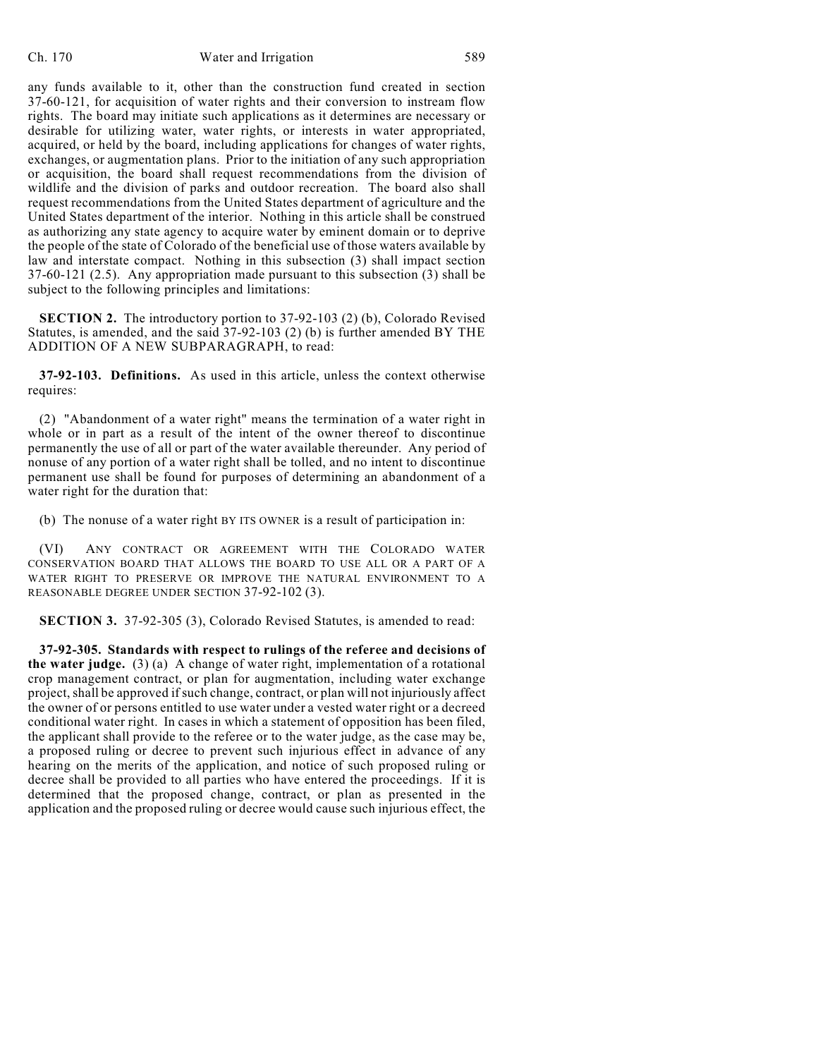any funds available to it, other than the construction fund created in section 37-60-121, for acquisition of water rights and their conversion to instream flow rights. The board may initiate such applications as it determines are necessary or desirable for utilizing water, water rights, or interests in water appropriated, acquired, or held by the board, including applications for changes of water rights, exchanges, or augmentation plans. Prior to the initiation of any such appropriation or acquisition, the board shall request recommendations from the division of wildlife and the division of parks and outdoor recreation. The board also shall request recommendations from the United States department of agriculture and the United States department of the interior. Nothing in this article shall be construed as authorizing any state agency to acquire water by eminent domain or to deprive the people of the state of Colorado of the beneficial use of those waters available by law and interstate compact. Nothing in this subsection (3) shall impact section 37-60-121 (2.5). Any appropriation made pursuant to this subsection (3) shall be subject to the following principles and limitations:

**SECTION 2.** The introductory portion to 37-92-103 (2) (b), Colorado Revised Statutes, is amended, and the said 37-92-103 (2) (b) is further amended BY THE ADDITION OF A NEW SUBPARAGRAPH, to read:

**37-92-103. Definitions.** As used in this article, unless the context otherwise requires:

(2) "Abandonment of a water right" means the termination of a water right in whole or in part as a result of the intent of the owner thereof to discontinue permanently the use of all or part of the water available thereunder. Any period of nonuse of any portion of a water right shall be tolled, and no intent to discontinue permanent use shall be found for purposes of determining an abandonment of a water right for the duration that:

(b) The nonuse of a water right BY ITS OWNER is a result of participation in:

(VI) ANY CONTRACT OR AGREEMENT WITH THE COLORADO WATER CONSERVATION BOARD THAT ALLOWS THE BOARD TO USE ALL OR A PART OF A WATER RIGHT TO PRESERVE OR IMPROVE THE NATURAL ENVIRONMENT TO A REASONABLE DEGREE UNDER SECTION 37-92-102 (3).

**SECTION 3.** 37-92-305 (3), Colorado Revised Statutes, is amended to read:

**37-92-305. Standards with respect to rulings of the referee and decisions of the water judge.** (3) (a) A change of water right, implementation of a rotational crop management contract, or plan for augmentation, including water exchange project, shall be approved if such change, contract, or plan will not injuriously affect the owner of or persons entitled to use water under a vested water right or a decreed conditional water right. In cases in which a statement of opposition has been filed, the applicant shall provide to the referee or to the water judge, as the case may be, a proposed ruling or decree to prevent such injurious effect in advance of any hearing on the merits of the application, and notice of such proposed ruling or decree shall be provided to all parties who have entered the proceedings. If it is determined that the proposed change, contract, or plan as presented in the application and the proposed ruling or decree would cause such injurious effect, the